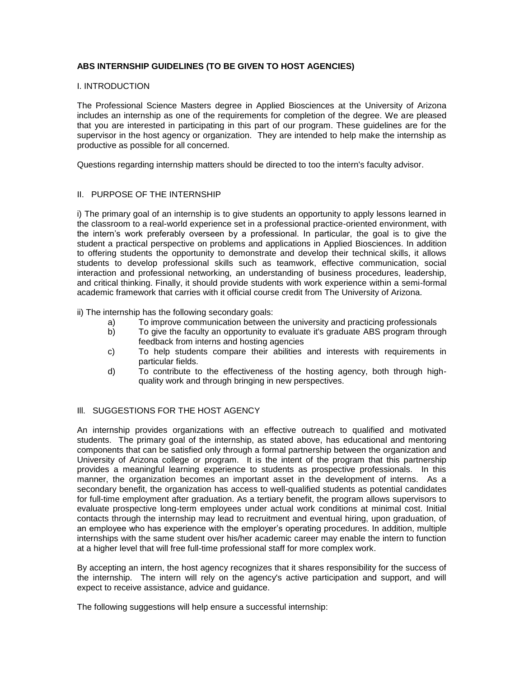## **ABS INTERNSHIP GUIDELINES (TO BE GIVEN TO HOST AGENCIES)**

## I. INTRODUCTION

The Professional Science Masters degree in Applied Biosciences at the University of Arizona includes an internship as one of the requirements for completion of the degree. We are pleased that you are interested in participating in this part of our program. These guidelines are for the supervisor in the host agency or organization. They are intended to help make the internship as productive as possible for all concerned.

Questions regarding internship matters should be directed to too the intern's faculty advisor.

## II. PURPOSE OF THE INTERNSHIP

i) The primary goal of an internship is to give students an opportunity to apply lessons learned in the classroom to a real-world experience set in a professional practice-oriented environment, with the intern's work preferably overseen by a professional. In particular, the goal is to give the student a practical perspective on problems and applications in Applied Biosciences. In addition to offering students the opportunity to demonstrate and develop their technical skills, it allows students to develop professional skills such as teamwork, effective communication, social interaction and professional networking, an understanding of business procedures, leadership, and critical thinking. Finally, it should provide students with work experience within a semi-formal academic framework that carries with it official course credit from The University of Arizona.

ii) The internship has the following secondary goals:

- a) To improve communication between the university and practicing professionals
- b) To give the faculty an opportunity to evaluate it's graduate ABS program through feedback from interns and hosting agencies
- c) To help students compare their abilities and interests with requirements in particular fields.
- d) To contribute to the effectiveness of the hosting agency, both through highquality work and through bringing in new perspectives.

## III. SUGGESTIONS FOR THE HOST AGENCY

An internship provides organizations with an effective outreach to qualified and motivated students. The primary goal of the internship, as stated above, has educational and mentoring components that can be satisfied only through a formal partnership between the organization and University of Arizona college or program. It is the intent of the program that this partnership provides a meaningful learning experience to students as prospective professionals. In this manner, the organization becomes an important asset in the development of interns. As a secondary benefit, the organization has access to well-qualified students as potential candidates for full-time employment after graduation. As a tertiary benefit, the program allows supervisors to evaluate prospective long-term employees under actual work conditions at minimal cost. Initial contacts through the internship may lead to recruitment and eventual hiring, upon graduation, of an employee who has experience with the employer's operating procedures. In addition, multiple internships with the same student over his/her academic career may enable the intern to function at a higher level that will free full-time professional staff for more complex work.

By accepting an intern, the host agency recognizes that it shares responsibility for the success of the internship. The intern will rely on the agency's active participation and support, and will expect to receive assistance, advice and guidance.

The following suggestions will help ensure a successful internship: